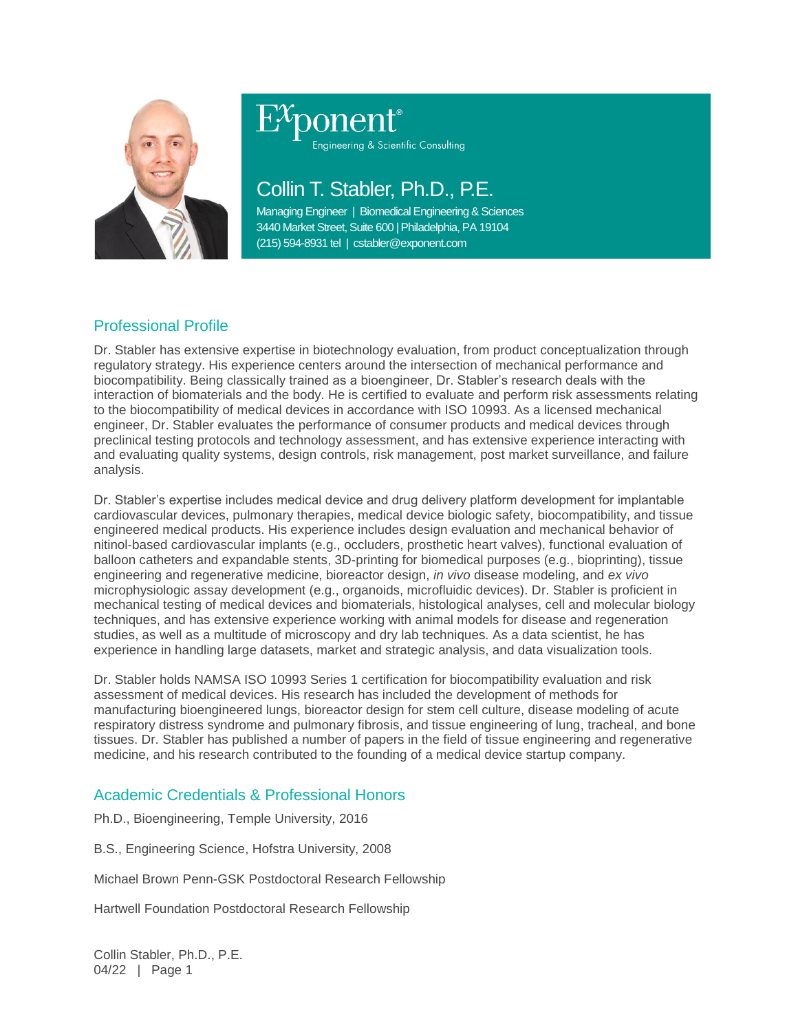

Engineering & Scientific Consulting

# Collin T. Stabler, Ph.D., P.E.

Managing Engineer | Biomedical Engineering & Sciences 3440 Market Street, Suite 600 | Philadelphia, PA 19104 (215) 594-8931 tel | cstabler@exponent.com

# Professional Profile

Dr. Stabler has extensive expertise in biotechnology evaluation, from product conceptualization through regulatory strategy. His experience centers around the intersection of mechanical performance and biocompatibility. Being classically trained as a bioengineer, Dr. Stabler's research deals with the interaction of biomaterials and the body. He is certified to evaluate and perform risk assessments relating to the biocompatibility of medical devices in accordance with ISO 10993. As a licensed mechanical engineer, Dr. Stabler evaluates the performance of consumer products and medical devices through preclinical testing protocols and technology assessment, and has extensive experience interacting with and evaluating quality systems, design controls, risk management, post market surveillance, and failure analysis.

Dr. Stabler's expertise includes medical device and drug delivery platform development for implantable cardiovascular devices, pulmonary therapies, medical device biologic safety, biocompatibility, and tissue engineered medical products. His experience includes design evaluation and mechanical behavior of nitinol-based cardiovascular implants (e.g., occluders, prosthetic heart valves), functional evaluation of balloon catheters and expandable stents, 3D-printing for biomedical purposes (e.g., bioprinting), tissue engineering and regenerative medicine, bioreactor design, *in vivo* disease modeling, and *ex vivo* microphysiologic assay development (e.g., organoids, microfluidic devices). Dr. Stabler is proficient in mechanical testing of medical devices and biomaterials, histological analyses, cell and molecular biology techniques, and has extensive experience working with animal models for disease and regeneration studies, as well as a multitude of microscopy and dry lab techniques. As a data scientist, he has experience in handling large datasets, market and strategic analysis, and data visualization tools.

Dr. Stabler holds NAMSA ISO 10993 Series 1 certification for biocompatibility evaluation and risk assessment of medical devices. His research has included the development of methods for manufacturing bioengineered lungs, bioreactor design for stem cell culture, disease modeling of acute respiratory distress syndrome and pulmonary fibrosis, and tissue engineering of lung, tracheal, and bone tissues. Dr. Stabler has published a number of papers in the field of tissue engineering and regenerative medicine, and his research contributed to the founding of a medical device startup company.

## Academic Credentials & Professional Honors

Ph.D., Bioengineering, Temple University, 2016

B.S., Engineering Science, Hofstra University, 2008

Michael Brown Penn-GSK Postdoctoral Research Fellowship

Hartwell Foundation Postdoctoral Research Fellowship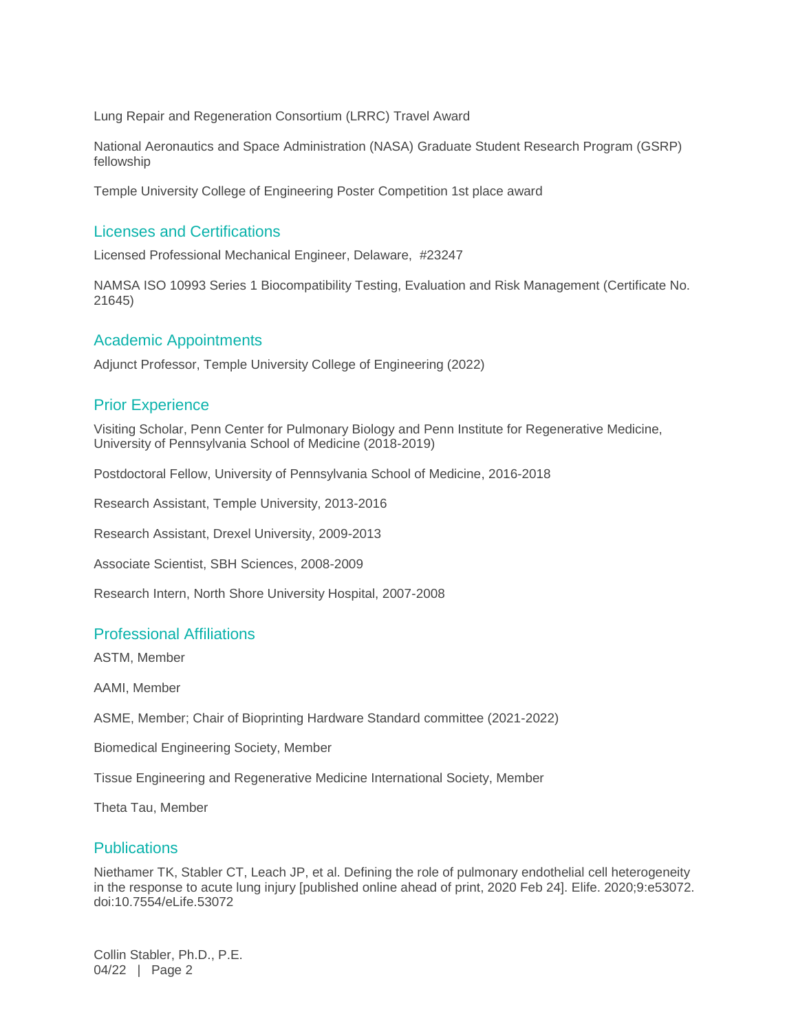Lung Repair and Regeneration Consortium (LRRC) Travel Award

National Aeronautics and Space Administration (NASA) Graduate Student Research Program (GSRP) fellowship

Temple University College of Engineering Poster Competition 1st place award

#### Licenses and Certifications

Licensed Professional Mechanical Engineer, Delaware, #23247

NAMSA ISO 10993 Series 1 Biocompatibility Testing, Evaluation and Risk Management (Certificate No. 21645)

#### Academic Appointments

Adjunct Professor, Temple University College of Engineering (2022)

#### Prior Experience

Visiting Scholar, Penn Center for Pulmonary Biology and Penn Institute for Regenerative Medicine, University of Pennsylvania School of Medicine (2018-2019)

Postdoctoral Fellow, University of Pennsylvania School of Medicine, 2016-2018

Research Assistant, Temple University, 2013-2016

Research Assistant, Drexel University, 2009-2013

Associate Scientist, SBH Sciences, 2008-2009

Research Intern, North Shore University Hospital, 2007-2008

#### Professional Affiliations

ASTM, Member

AAMI, Member

ASME, Member; Chair of Bioprinting Hardware Standard committee (2021-2022)

Biomedical Engineering Society, Member

Tissue Engineering and Regenerative Medicine International Society, Member

Theta Tau, Member

#### **Publications**

Niethamer TK, Stabler CT, Leach JP, et al. Defining the role of pulmonary endothelial cell heterogeneity in the response to acute lung injury [published online ahead of print, 2020 Feb 24]. Elife. 2020;9:e53072. doi:10.7554/eLife.53072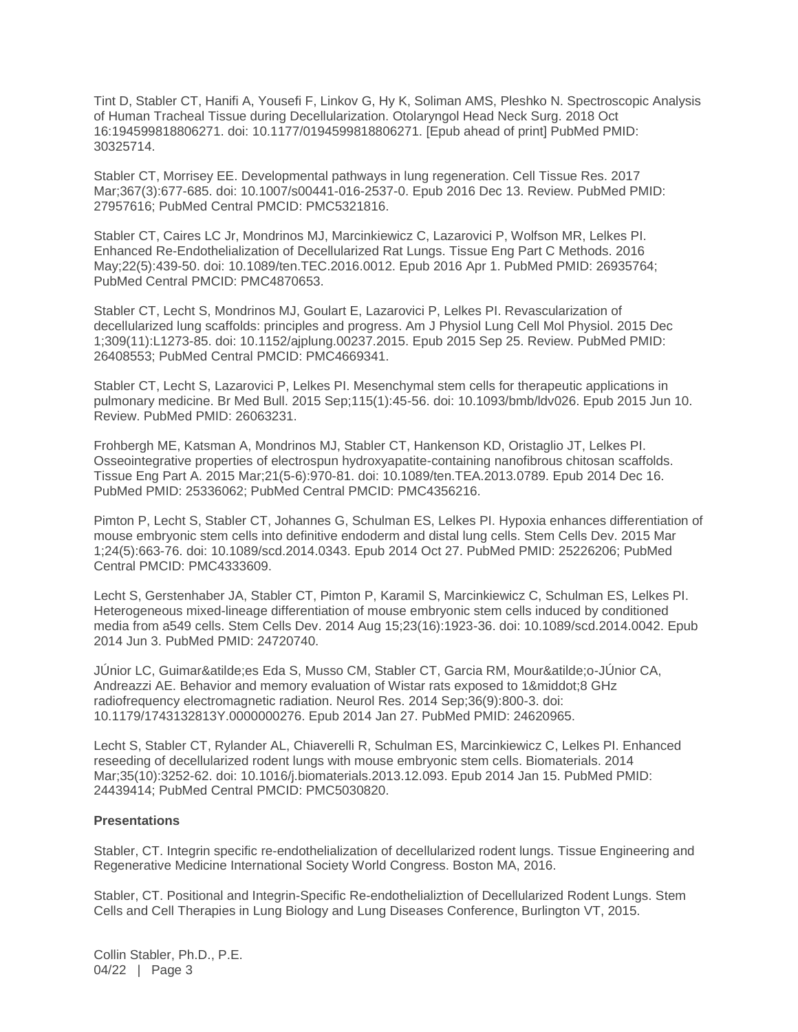Tint D, Stabler CT, Hanifi A, Yousefi F, Linkov G, Hy K, Soliman AMS, Pleshko N. Spectroscopic Analysis of Human Tracheal Tissue during Decellularization. Otolaryngol Head Neck Surg. 2018 Oct 16:194599818806271. doi: 10.1177/0194599818806271. [Epub ahead of print] PubMed PMID: 30325714.

Stabler CT, Morrisey EE. Developmental pathways in lung regeneration. Cell Tissue Res. 2017 Mar;367(3):677-685. doi: 10.1007/s00441-016-2537-0. Epub 2016 Dec 13. Review. PubMed PMID: 27957616; PubMed Central PMCID: PMC5321816.

Stabler CT, Caires LC Jr, Mondrinos MJ, Marcinkiewicz C, Lazarovici P, Wolfson MR, Lelkes PI. Enhanced Re-Endothelialization of Decellularized Rat Lungs. Tissue Eng Part C Methods. 2016 May;22(5):439-50. doi: 10.1089/ten.TEC.2016.0012. Epub 2016 Apr 1. PubMed PMID: 26935764; PubMed Central PMCID: PMC4870653.

Stabler CT, Lecht S, Mondrinos MJ, Goulart E, Lazarovici P, Lelkes PI. Revascularization of decellularized lung scaffolds: principles and progress. Am J Physiol Lung Cell Mol Physiol. 2015 Dec 1;309(11):L1273-85. doi: 10.1152/ajplung.00237.2015. Epub 2015 Sep 25. Review. PubMed PMID: 26408553; PubMed Central PMCID: PMC4669341.

Stabler CT, Lecht S, Lazarovici P, Lelkes PI. Mesenchymal stem cells for therapeutic applications in pulmonary medicine. Br Med Bull. 2015 Sep;115(1):45-56. doi: 10.1093/bmb/ldv026. Epub 2015 Jun 10. Review. PubMed PMID: 26063231.

Frohbergh ME, Katsman A, Mondrinos MJ, Stabler CT, Hankenson KD, Oristaglio JT, Lelkes PI. Osseointegrative properties of electrospun hydroxyapatite-containing nanofibrous chitosan scaffolds. Tissue Eng Part A. 2015 Mar;21(5-6):970-81. doi: 10.1089/ten.TEA.2013.0789. Epub 2014 Dec 16. PubMed PMID: 25336062; PubMed Central PMCID: PMC4356216.

Pimton P, Lecht S, Stabler CT, Johannes G, Schulman ES, Lelkes PI. Hypoxia enhances differentiation of mouse embryonic stem cells into definitive endoderm and distal lung cells. Stem Cells Dev. 2015 Mar 1;24(5):663-76. doi: 10.1089/scd.2014.0343. Epub 2014 Oct 27. PubMed PMID: 25226206; PubMed Central PMCID: PMC4333609.

Lecht S, Gerstenhaber JA, Stabler CT, Pimton P, Karamil S, Marcinkiewicz C, Schulman ES, Lelkes PI. Heterogeneous mixed-lineage differentiation of mouse embryonic stem cells induced by conditioned media from a549 cells. Stem Cells Dev. 2014 Aug 15;23(16):1923-36. doi: 10.1089/scd.2014.0042. Epub 2014 Jun 3. PubMed PMID: 24720740.

JUnior LC, Guimar&atilde:es Eda S, Musso CM, Stabler CT, Garcia RM, Mour&atilde:o-JUnior CA, Andreazzi AE. Behavior and memory evaluation of Wistar rats exposed to 1& middot: 8 GHz radiofrequency electromagnetic radiation. Neurol Res. 2014 Sep;36(9):800-3. doi: 10.1179/1743132813Y.0000000276. Epub 2014 Jan 27. PubMed PMID: 24620965.

Lecht S, Stabler CT, Rylander AL, Chiaverelli R, Schulman ES, Marcinkiewicz C, Lelkes PI. Enhanced reseeding of decellularized rodent lungs with mouse embryonic stem cells. Biomaterials. 2014 Mar;35(10):3252-62. doi: 10.1016/j.biomaterials.2013.12.093. Epub 2014 Jan 15. PubMed PMID: 24439414; PubMed Central PMCID: PMC5030820.

#### **Presentations**

Stabler, CT. Integrin specific re-endothelialization of decellularized rodent lungs. Tissue Engineering and Regenerative Medicine International Society World Congress. Boston MA, 2016.

Stabler, CT. Positional and Integrin-Specific Re-endothelializtion of Decellularized Rodent Lungs. Stem Cells and Cell Therapies in Lung Biology and Lung Diseases Conference, Burlington VT, 2015.